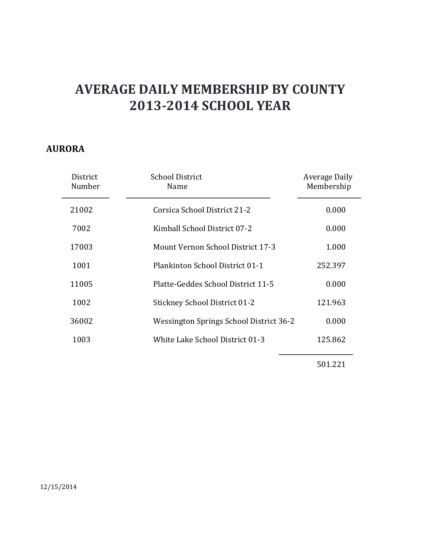#### **AURORA**

| District<br>Number | <b>School District</b><br>Name           | Average Daily<br>Membership |
|--------------------|------------------------------------------|-----------------------------|
| 21002              | Corsica School District 21-2             | 0.000                       |
| 7002               | Kimball School District 07-2             | 0.000                       |
| 17003              | <b>Mount Vernon School District 17-3</b> | 1.000                       |
| 1001               | Plankinton School District 01-1          | 252.397                     |
| 11005              | Platte-Geddes School District 11-5       | 0.000                       |
| 1002               | <b>Stickney School District 01-2</b>     | 121.963                     |
| 36002              | Wessington Springs School District 36-2  | 0.000                       |
| 1003               | White Lake School District 01-3          | 125.862                     |
|                    |                                          |                             |

501.221

12/15/2014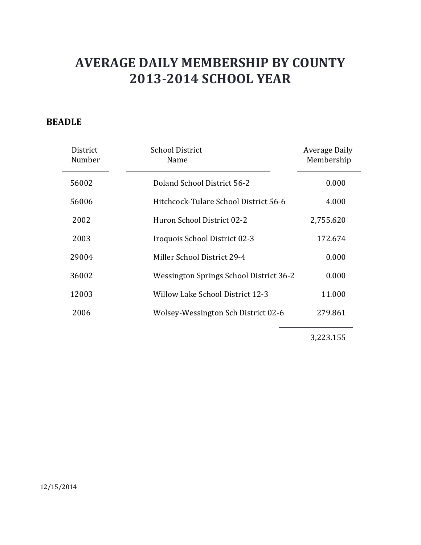### **BEADLE**

| District<br>Number | <b>School District</b><br>Name          | Average Daily<br>Membership |
|--------------------|-----------------------------------------|-----------------------------|
| 56002              | Doland School District 56-2             | 0.000                       |
| 56006              | Hitchcock-Tulare School District 56-6   | 4.000                       |
| 2002               | Huron School District 02-2              | 2,755.620                   |
| 2003               | Iroquois School District 02-3           | 172.674                     |
| 29004              | Miller School District 29-4             | 0.000                       |
| 36002              | Wessington Springs School District 36-2 | 0.000                       |
| 12003              | Willow Lake School District 12-3        | 11.000                      |
| 2006               | Wolsey-Wessington Sch District 02-6     | 279.861                     |
|                    |                                         |                             |

3,223.155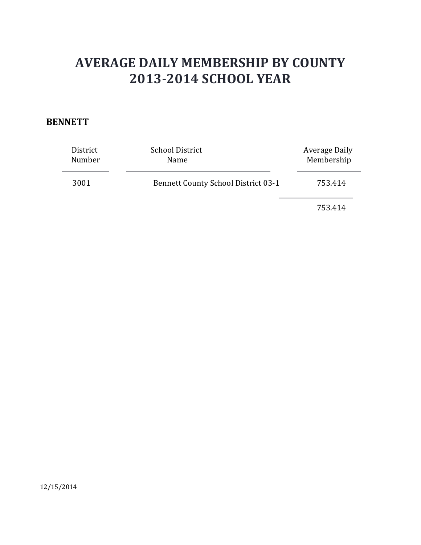#### **BENNETT**

| District<br>Number | <b>School District</b><br>Name             | Average Daily<br>Membership |
|--------------------|--------------------------------------------|-----------------------------|
| 3001               | <b>Bennett County School District 03-1</b> | 753.414                     |
|                    |                                            | 753.414                     |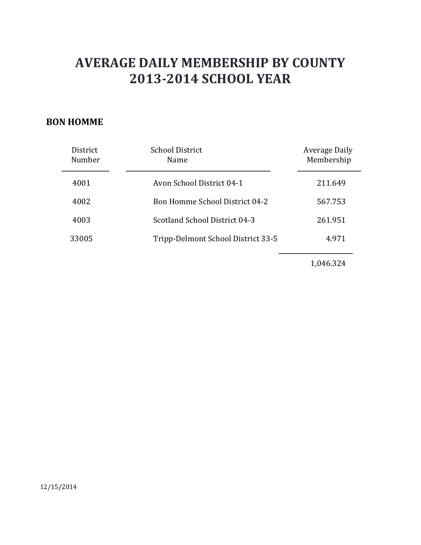#### **BON HOMME**

| District<br>Number | <b>School District</b><br>Name        | Average Daily<br>Membership |
|--------------------|---------------------------------------|-----------------------------|
| 4001               | Avon School District 04-1             | 211.649                     |
| 4002               | <b>Bon Homme School District 04-2</b> | 567.753                     |
| 4003               | Scotland School District 04-3         | 261.951                     |
| 33005              | Tripp-Delmont School District 33-5    | 4.971                       |
|                    |                                       |                             |

1,046.324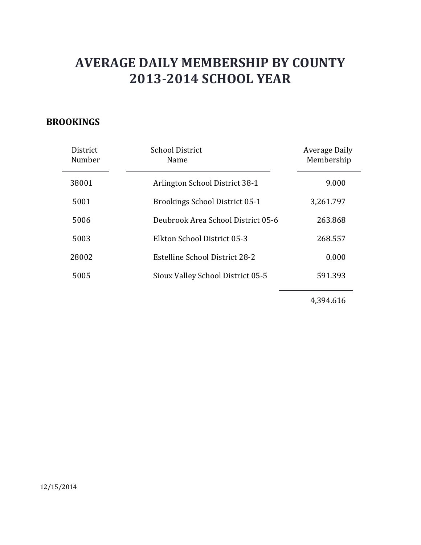### **BROOKINGS**

| District<br>Number | <b>School District</b><br>Name        | Average Daily<br>Membership |
|--------------------|---------------------------------------|-----------------------------|
| 38001              | Arlington School District 38-1        | 9.000                       |
| 5001               | <b>Brookings School District 05-1</b> | 3,261.797                   |
| 5006               | Deubrook Area School District 05-6    | 263.868                     |
| 5003               | Elkton School District 05-3           | 268.557                     |
| 28002              | Estelline School District 28-2        | 0.000                       |
| 5005               | Sioux Valley School District 05-5     | 591.393                     |

4,394.616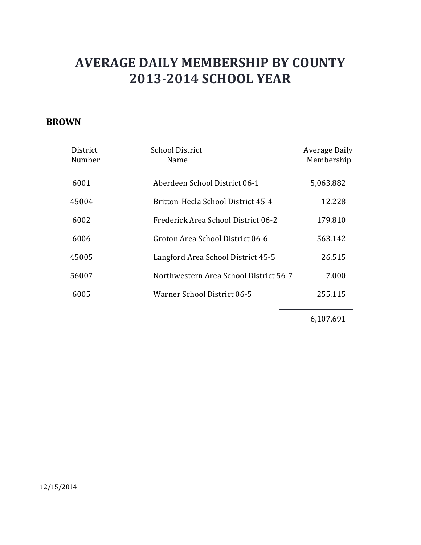#### **BROWN**

| District<br>Number | <b>School District</b><br>Name         | Average Daily<br>Membership |
|--------------------|----------------------------------------|-----------------------------|
| 6001               | Aberdeen School District 06-1          | 5,063.882                   |
| 45004              | Britton-Hecla School District 45-4     | 12.228                      |
| 6002               | Frederick Area School District 06-2    | 179.810                     |
| 6006               | Groton Area School District 06-6       | 563.142                     |
| 45005              | Langford Area School District 45-5     | 26.515                      |
| 56007              | Northwestern Area School District 56-7 | 7.000                       |
| 6005               | Warner School District 06-5            | 255.115                     |

6,107.691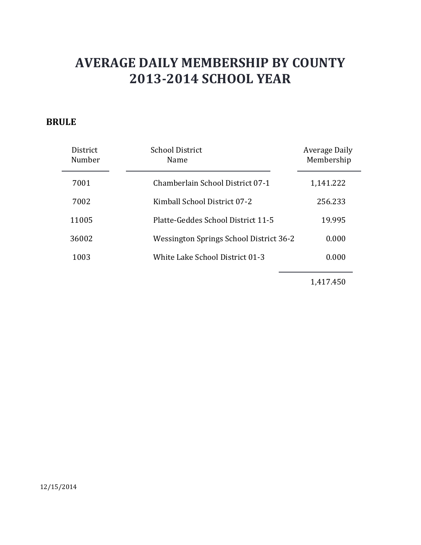### **BRULE**

| District<br>Number | School District<br><b>Name</b>          | Average Daily<br>Membership |
|--------------------|-----------------------------------------|-----------------------------|
| 7001               | Chamberlain School District 07-1        | 1,141.222                   |
| 7002               | Kimball School District 07-2            | 256.233                     |
| 11005              | Platte-Geddes School District 11-5      | 19.995                      |
| 36002              | Wessington Springs School District 36-2 | 0.000                       |
| 1003               | White Lake School District 01-3         | 0.000                       |

1,417.450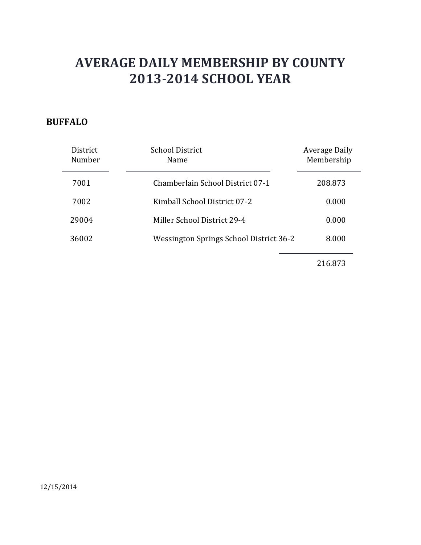### **BUFFALO**

| District<br>Number | <b>School District</b><br>Name          | Average Daily<br>Membership |
|--------------------|-----------------------------------------|-----------------------------|
| 7001               | Chamberlain School District 07-1        | 208.873                     |
| 7002               | Kimball School District 07-2            | 0.000                       |
| 29004              | Miller School District 29-4             | 0.000                       |
| 36002              | Wessington Springs School District 36-2 | 8.000                       |
|                    |                                         |                             |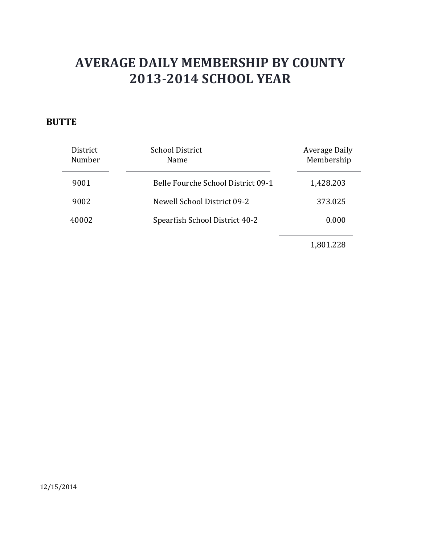### **BUTTE**

| District<br>Number | <b>School District</b><br><b>Name</b> | <b>Average Daily</b><br>Membership |
|--------------------|---------------------------------------|------------------------------------|
| 9001               | Belle Fourche School District 09-1    | 1,428.203                          |
| 9002               | Newell School District 09-2           | 373.025                            |
| 40002              | Spearfish School District 40-2        | 0.000                              |
|                    |                                       |                                    |

1,801.228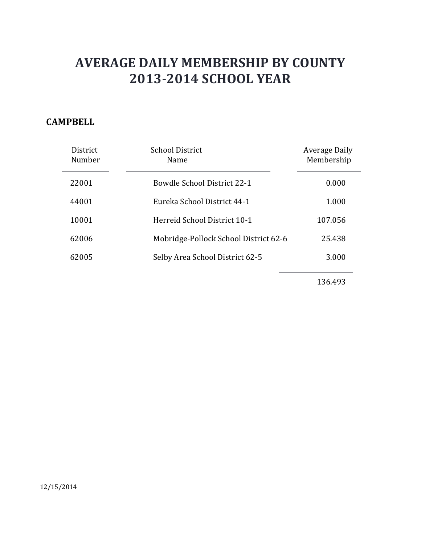### **CAMPBELL**

| District<br>Number | School District<br>Name               | Average Daily<br>Membership |
|--------------------|---------------------------------------|-----------------------------|
| 22001              | <b>Bowdle School District 22-1</b>    | 0.000                       |
| 44001              | Eureka School District 44-1           | 1.000                       |
| 10001              | Herreid School District 10-1          | 107.056                     |
| 62006              | Mobridge-Pollock School District 62-6 | 25.438                      |
| 62005              | Selby Area School District 62-5       | 3.000                       |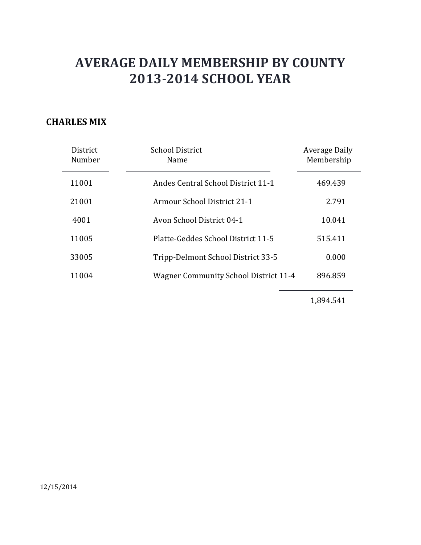#### **CHARLES MIX**

| District<br>Number | <b>School District</b><br>Name               | Average Daily<br>Membership |
|--------------------|----------------------------------------------|-----------------------------|
| 11001              | Andes Central School District 11-1           | 469.439                     |
| 21001              | Armour School District 21-1                  | 2.791                       |
| 4001               | Avon School District 04-1                    | 10.041                      |
| 11005              | Platte-Geddes School District 11-5           | 515.411                     |
| 33005              | Tripp-Delmont School District 33-5           | 0.000                       |
| 11004              | <b>Wagner Community School District 11-4</b> | 896.859                     |

1,894.541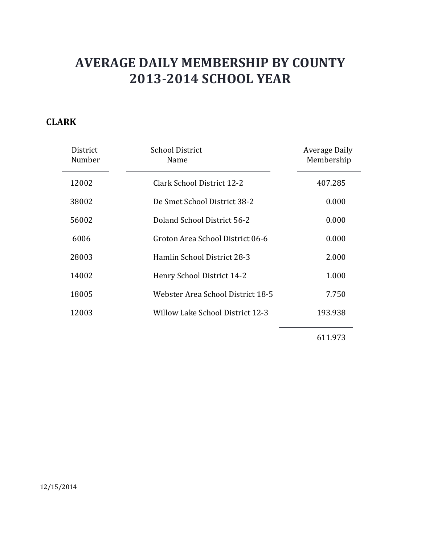### **CLARK**

| District<br>Number | <b>School District</b><br>Name          | Average Daily<br>Membership |
|--------------------|-----------------------------------------|-----------------------------|
| 12002              | Clark School District 12-2              | 407.285                     |
| 38002              | De Smet School District 38-2            | 0.000                       |
| 56002              | Doland School District 56-2             | 0.000                       |
| 6006               | Groton Area School District 06-6        | 0.000                       |
| 28003              | Hamlin School District 28-3             | 2.000                       |
| 14002              | Henry School District 14-2              | 1.000                       |
| 18005              | Webster Area School District 18-5       | 7.750                       |
| 12003              | <b>Willow Lake School District 12-3</b> | 193.938                     |
|                    |                                         |                             |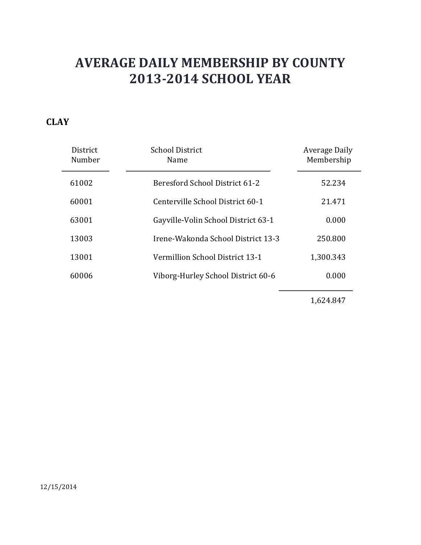### **CLAY**

| District<br>Number | <b>School District</b><br>Name      | Average Daily<br>Membership |
|--------------------|-------------------------------------|-----------------------------|
| 61002              | Beresford School District 61-2      | 52.234                      |
| 60001              | Centerville School District 60-1    | 21.471                      |
| 63001              | Gayville-Volin School District 63-1 | 0.000                       |
| 13003              | Irene-Wakonda School District 13-3  | 250.800                     |
| 13001              | Vermillion School District 13-1     | 1,300.343                   |
| 60006              | Viborg-Hurley School District 60-6  | 0.000                       |

1,624.847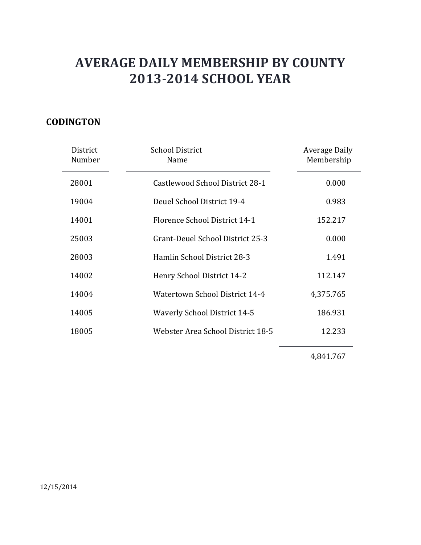### **CODINGTON**

| District<br>Number | <b>School District</b><br>Name      | <b>Average Daily</b><br>Membership |
|--------------------|-------------------------------------|------------------------------------|
| 28001              | Castlewood School District 28-1     | 0.000                              |
| 19004              | Deuel School District 19-4          | 0.983                              |
| 14001              | Florence School District 14-1       | 152.217                            |
| 25003              | Grant-Deuel School District 25-3    | 0.000                              |
| 28003              | Hamlin School District 28-3         | 1.491                              |
| 14002              | Henry School District 14-2          | 112.147                            |
| 14004              | Watertown School District 14-4      | 4,375.765                          |
| 14005              | <b>Waverly School District 14-5</b> | 186.931                            |
| 18005              | Webster Area School District 18-5   | 12.233                             |
|                    |                                     |                                    |

4,841.767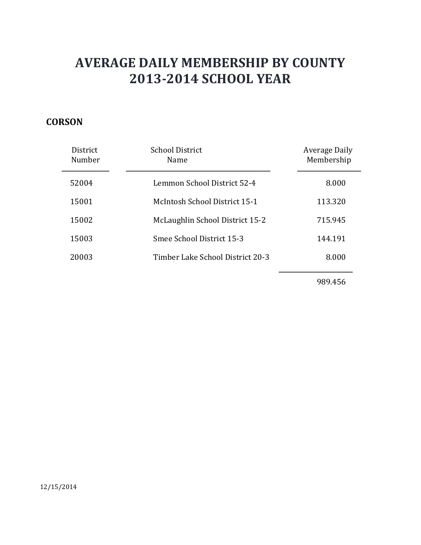### **CORSON**

| <b>District</b><br>Number | School District<br>Name          | Average Daily<br>Membership |
|---------------------------|----------------------------------|-----------------------------|
| 52004                     | Lemmon School District 52-4      | 8.000                       |
| 15001                     | McIntosh School District 15-1    | 113.320                     |
| 15002                     | McLaughlin School District 15-2  | 715.945                     |
| 15003                     | Smee School District 15-3        | 144.191                     |
| 20003                     | Timber Lake School District 20-3 | 8.000                       |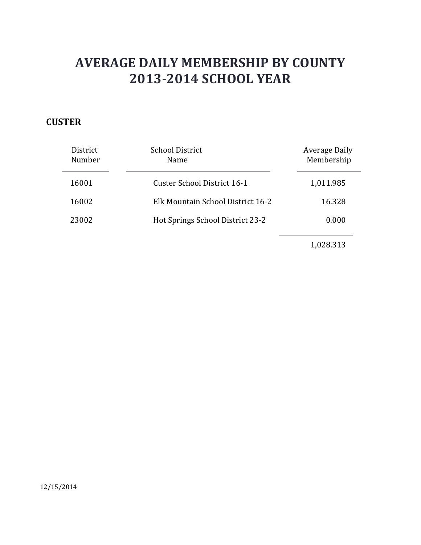### **CUSTER**

| District<br>Number | <b>School District</b><br>Name    | Average Daily<br>Membership |
|--------------------|-----------------------------------|-----------------------------|
| 16001              | Custer School District 16-1       | 1,011.985                   |
| 16002              | Elk Mountain School District 16-2 | 16.328                      |
| 23002              | Hot Springs School District 23-2  | 0.000                       |
|                    |                                   |                             |

1,028.313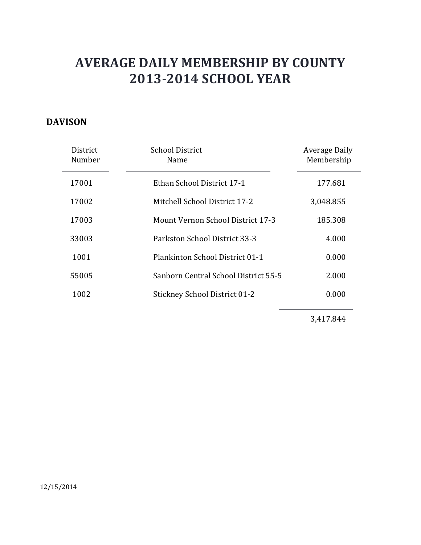### **DAVISON**

| District<br>Number | <b>School District</b><br>Name           | Average Daily<br>Membership |
|--------------------|------------------------------------------|-----------------------------|
| 17001              | Ethan School District 17-1               | 177.681                     |
| 17002              | Mitchell School District 17-2            | 3,048.855                   |
| 17003              | <b>Mount Vernon School District 17-3</b> | 185.308                     |
| 33003              | Parkston School District 33-3            | 4.000                       |
| 1001               | Plankinton School District 01-1          | 0.000                       |
| 55005              | Sanborn Central School District 55-5     | 2.000                       |
| 1002               | <b>Stickney School District 01-2</b>     | 0.000                       |

3,417.844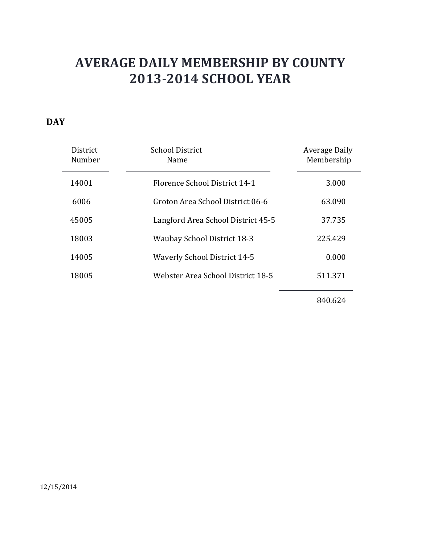### **DAY**

| District<br>Number | <b>School District</b><br>Name      | Average Daily<br>Membership |
|--------------------|-------------------------------------|-----------------------------|
| 14001              | Florence School District 14-1       | 3.000                       |
| 6006               | Groton Area School District 06-6    | 63.090                      |
| 45005              | Langford Area School District 45-5  | 37.735                      |
| 18003              | <b>Waubay School District 18-3</b>  | 225.429                     |
| 14005              | <b>Waverly School District 14-5</b> | 0.000                       |
| 18005              | Webster Area School District 18-5   | 511.371                     |
|                    |                                     |                             |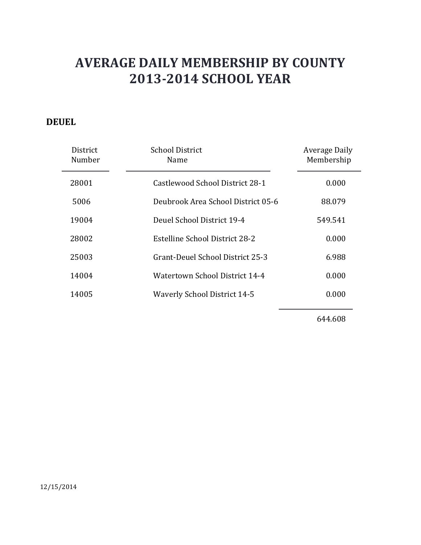### **DEUEL**

| District<br>Number | <b>School District</b><br>Name      | Average Daily<br>Membership |
|--------------------|-------------------------------------|-----------------------------|
| 28001              | Castlewood School District 28-1     | 0.000                       |
| 5006               | Deubrook Area School District 05-6  | 88.079                      |
| 19004              | Deuel School District 19-4          | 549.541                     |
| 28002              | Estelline School District 28-2      | 0.000                       |
| 25003              | Grant-Deuel School District 25-3    | 6.988                       |
| 14004              | Watertown School District 14-4      | 0.000                       |
| 14005              | <b>Waverly School District 14-5</b> | 0.000                       |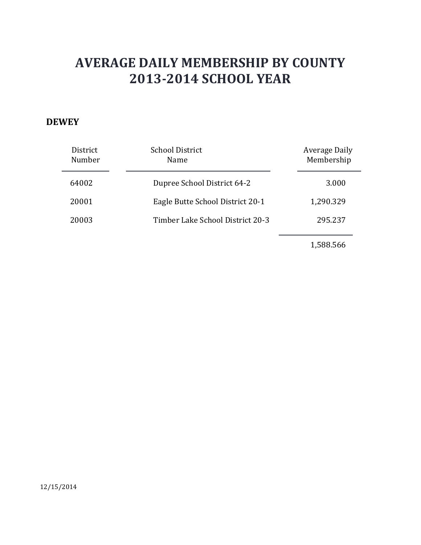#### **DEWEY**

| District<br>Number | <b>School District</b><br>Name   | <b>Average Daily</b><br>Membership |
|--------------------|----------------------------------|------------------------------------|
| 64002              | Dupree School District 64-2      | 3.000                              |
| 20001              | Eagle Butte School District 20-1 | 1,290.329                          |
| 20003              | Timber Lake School District 20-3 | 295.237                            |
|                    |                                  |                                    |

1,588.566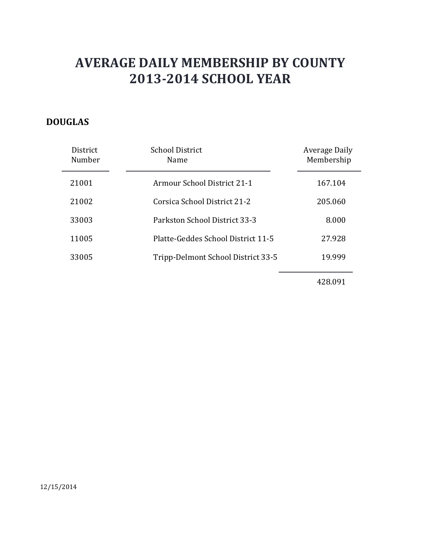### **DOUGLAS**

| <b>District</b><br>Number | <b>School District</b><br>Name     | <b>Average Daily</b><br>Membership |
|---------------------------|------------------------------------|------------------------------------|
| 21001                     | Armour School District 21-1        | 167.104                            |
| 21002                     | Corsica School District 21-2       | 205.060                            |
| 33003                     | Parkston School District 33-3      | 8.000                              |
| 11005                     | Platte-Geddes School District 11-5 | 27.928                             |
| 33005                     | Tripp-Delmont School District 33-5 | 19.999                             |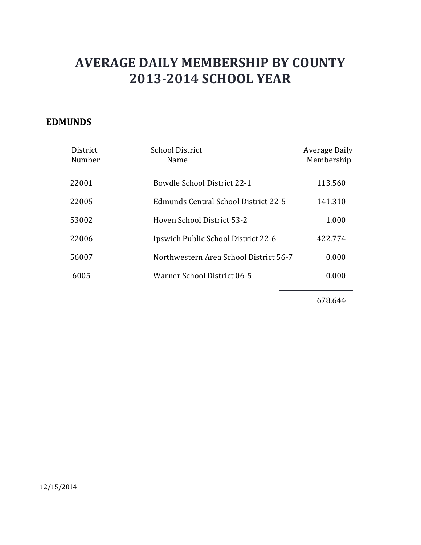#### **EDMUNDS**

| District<br>Number | <b>School District</b><br>Name         | Average Daily<br>Membership |
|--------------------|----------------------------------------|-----------------------------|
| 22001              | <b>Bowdle School District 22-1</b>     | 113.560                     |
| 22005              | Edmunds Central School District 22-5   | 141.310                     |
| 53002              | Hoven School District 53-2             | 1.000                       |
| 22006              | Ipswich Public School District 22-6    | 422.774                     |
| 56007              | Northwestern Area School District 56-7 | 0.000                       |
| 6005               | Warner School District 06-5            | 0.000                       |
|                    |                                        |                             |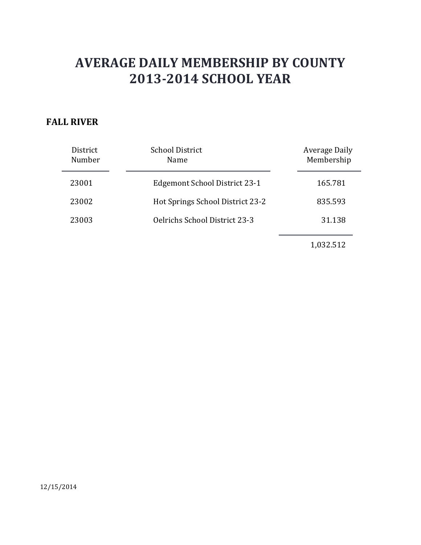### **FALL RIVER**

| District<br>Number | <b>School District</b><br>Name       | Average Daily<br>Membership |
|--------------------|--------------------------------------|-----------------------------|
| 23001              | Edgemont School District 23-1        | 165.781                     |
| 23002              | Hot Springs School District 23-2     | 835.593                     |
| 23003              | <b>Oelrichs School District 23-3</b> | 31.138                      |
|                    |                                      | $\sim$ $\sim$ $\sim$        |

1,032.512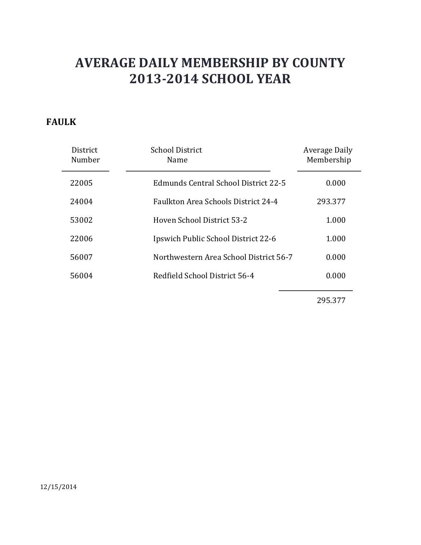### **FAULK**

| District<br>Number | <b>School District</b><br>Name             | Average Daily<br>Membership |
|--------------------|--------------------------------------------|-----------------------------|
| 22005              | Edmunds Central School District 22-5       | 0.000                       |
| 24004              | <b>Faulkton Area Schools District 24-4</b> | 293.377                     |
| 53002              | Hoven School District 53-2                 | 1.000                       |
| 22006              | Ipswich Public School District 22-6        | 1.000                       |
| 56007              | Northwestern Area School District 56-7     | 0.000                       |
| 56004              | Redfield School District 56-4              | 0.000                       |
|                    |                                            |                             |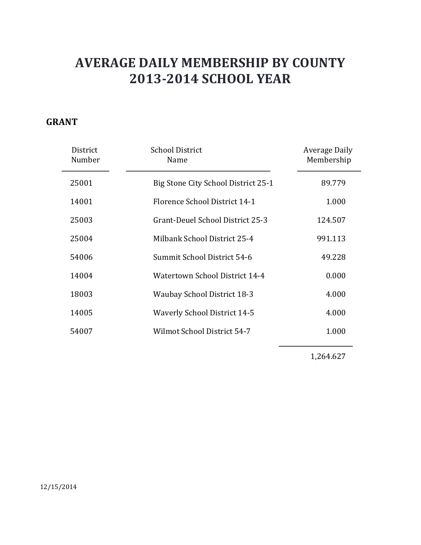### **GRANT**

| District<br>Number | <b>School District</b><br>Name        | Average Daily<br>Membership |
|--------------------|---------------------------------------|-----------------------------|
| 25001              | Big Stone City School District 25-1   | 89.779                      |
| 14001              | Florence School District 14-1         | 1.000                       |
| 25003              | Grant-Deuel School District 25-3      | 124.507                     |
| 25004              | Milbank School District 25-4          | 991.113                     |
| 54006              | Summit School District 54-6           | 49.228                      |
| 14004              | <b>Watertown School District 14-4</b> | 0.000                       |
| 18003              | <b>Waubay School District 18-3</b>    | 4.000                       |
| 14005              | <b>Waverly School District 14-5</b>   | 4.000                       |
| 54007              | Wilmot School District 54-7           | 1.000                       |
|                    |                                       |                             |

1,264.627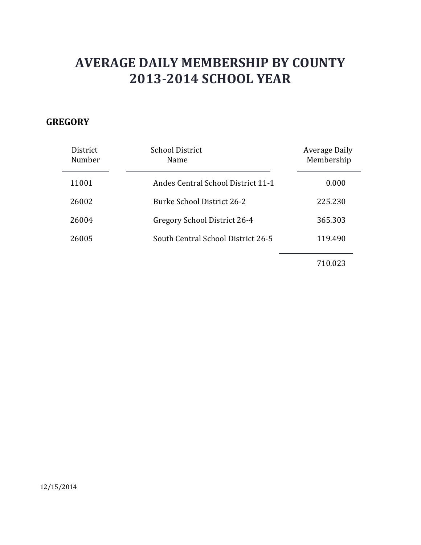### **GREGORY**

| District<br>Number | <b>School District</b><br>Name            | Average Daily<br>Membership |
|--------------------|-------------------------------------------|-----------------------------|
| 11001              | <b>Andes Central School District 11-1</b> | 0.000                       |
| 26002              | <b>Burke School District 26-2</b>         | 225.230                     |
| 26004              | Gregory School District 26-4              | 365.303                     |
| 26005              | South Central School District 26-5        | 119.490                     |
|                    |                                           |                             |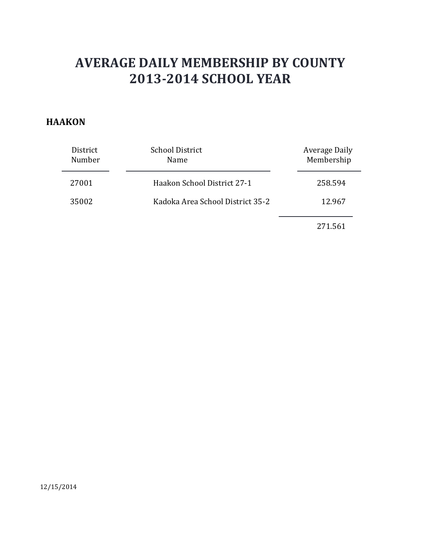#### **HAAKON**

| District<br>Number | <b>School District</b><br>Name   | Average Daily<br>Membership |
|--------------------|----------------------------------|-----------------------------|
| 27001              | Haakon School District 27-1      | 258.594                     |
| 35002              | Kadoka Area School District 35-2 | 12.967                      |
|                    |                                  |                             |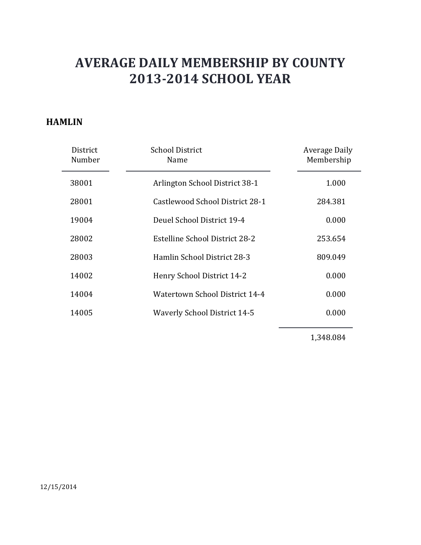#### **HAMLIN**

| District<br>Number | <b>School District</b><br>Name      | Average Daily<br>Membership |
|--------------------|-------------------------------------|-----------------------------|
| 38001              | Arlington School District 38-1      | 1.000                       |
| 28001              | Castlewood School District 28-1     | 284.381                     |
| 19004              | Deuel School District 19-4          | 0.000                       |
| 28002              | Estelline School District 28-2      | 253.654                     |
| 28003              | Hamlin School District 28-3         | 809.049                     |
| 14002              | Henry School District 14-2          | 0.000                       |
| 14004              | Watertown School District 14-4      | 0.000                       |
| 14005              | <b>Waverly School District 14-5</b> | 0.000                       |
|                    |                                     |                             |

1,348.084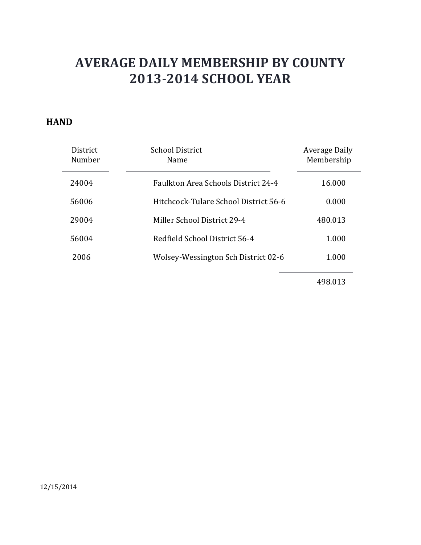#### **HAND**

| <b>District</b><br>Number | School District<br>Name                    | Average Daily<br>Membership |
|---------------------------|--------------------------------------------|-----------------------------|
| 24004                     | <b>Faulkton Area Schools District 24-4</b> | 16.000                      |
| 56006                     | Hitchcock-Tulare School District 56-6      | 0.000                       |
| 29004                     | Miller School District 29-4                | 480.013                     |
| 56004                     | Redfield School District 56-4              | 1.000                       |
| 2006                      | Wolsey-Wessington Sch District 02-6        | 1.000                       |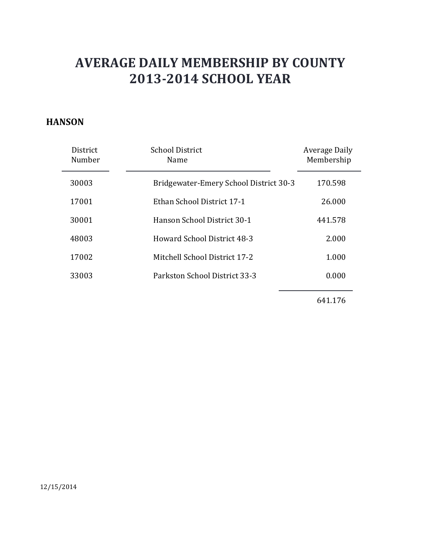#### **HANSON**

| District<br>Number | <b>School District</b><br>Name         | Average Daily<br>Membership |
|--------------------|----------------------------------------|-----------------------------|
| 30003              | Bridgewater-Emery School District 30-3 | 170.598                     |
| 17001              | Ethan School District 17-1             | 26,000                      |
| 30001              | Hanson School District 30-1            | 441.578                     |
| 48003              | Howard School District 48-3            | 2.000                       |
| 17002              | Mitchell School District 17-2          | 1.000                       |
| 33003              | Parkston School District 33-3          | 0.000                       |
|                    |                                        |                             |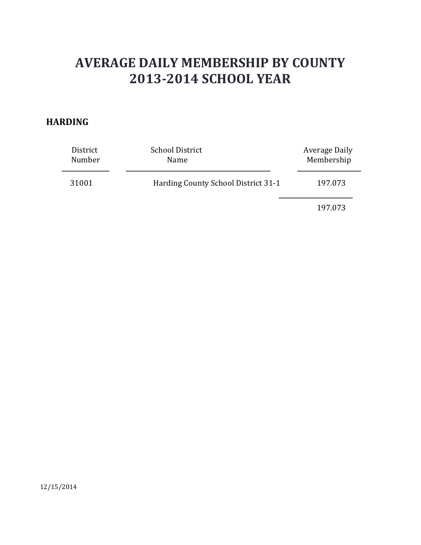#### **HARDING**

| District<br>Number | <b>School District</b><br>Name      | <b>Average Daily</b><br>Membership |
|--------------------|-------------------------------------|------------------------------------|
| 31001              | Harding County School District 31-1 | 197.073                            |
|                    |                                     | 197.073                            |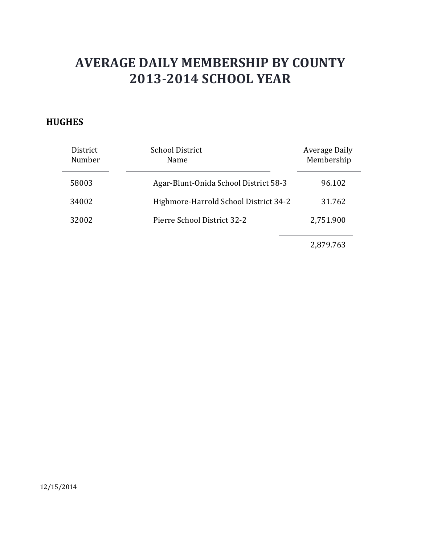### **HUGHES**

| District<br>Number | <b>School District</b><br>Name        | Average Daily<br>Membership |
|--------------------|---------------------------------------|-----------------------------|
| 58003              | Agar-Blunt-Onida School District 58-3 | 96.102                      |
| 34002              | Highmore-Harrold School District 34-2 | 31.762                      |
| 32002              | Pierre School District 32-2           | 2,751.900                   |
|                    |                                       | 2,879.763                   |

12/15/2014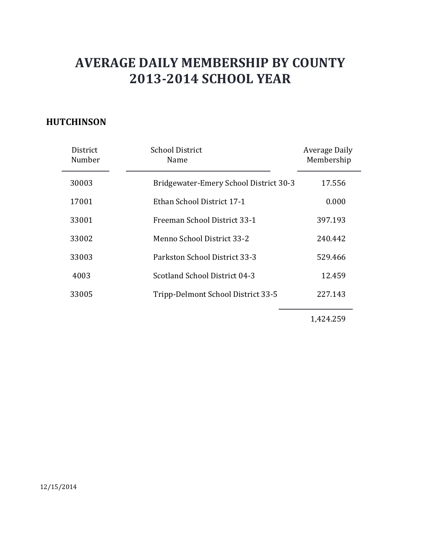### **HUTCHINSON**

| District<br>Number | <b>School District</b><br>Name         | <b>Average Daily</b><br>Membership |
|--------------------|----------------------------------------|------------------------------------|
| 30003              | Bridgewater-Emery School District 30-3 | 17.556                             |
| 17001              | Ethan School District 17-1             | 0.000                              |
| 33001              | Freeman School District 33-1           | 397.193                            |
| 33002              | Menno School District 33-2             | 240.442                            |
| 33003              | Parkston School District 33-3          | 529.466                            |
| 4003               | Scotland School District 04-3          | 12.459                             |
| 33005              | Tripp-Delmont School District 33-5     | 227.143                            |

1,424.259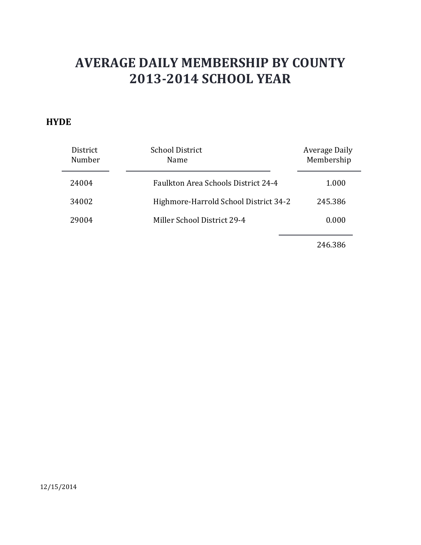#### **HYDE**

| District<br>Number | <b>School District</b><br>Name        | Average Daily<br>Membership |
|--------------------|---------------------------------------|-----------------------------|
| 24004              | Faulkton Area Schools District 24-4   | 1.000                       |
| 34002              | Highmore-Harrold School District 34-2 | 245.386                     |
| 29004              | Miller School District 29-4           | 0.000                       |
|                    |                                       |                             |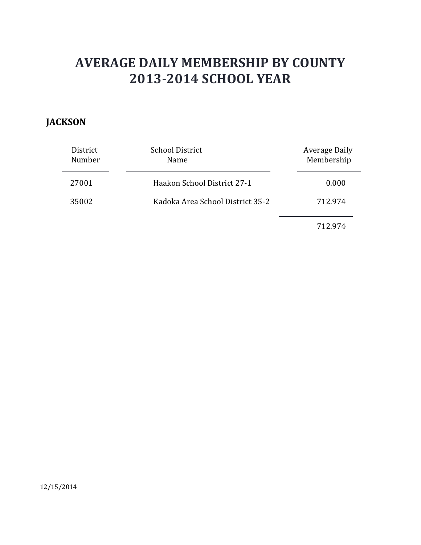### **JACKSON**

| District<br>Number | <b>School District</b><br>Name   | Average Daily<br>Membership |
|--------------------|----------------------------------|-----------------------------|
| 27001              | Haakon School District 27-1      | 0.000                       |
| 35002              | Kadoka Area School District 35-2 | 712.974                     |
|                    |                                  | 712.974                     |

12/15/2014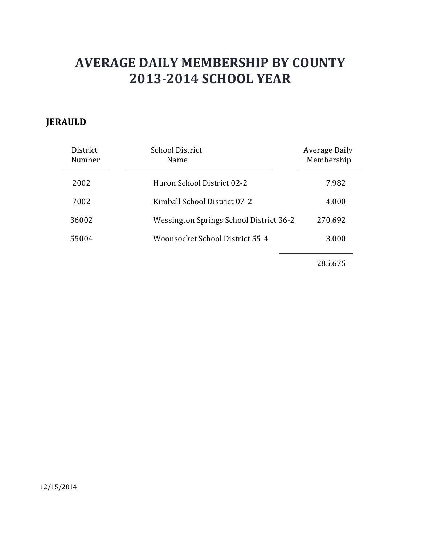### **JERAULD**

| District<br>Number | <b>School District</b><br>Name          | <b>Average Daily</b><br>Membership |
|--------------------|-----------------------------------------|------------------------------------|
| 2002               | Huron School District 02-2              | 7.982                              |
| 7002               | Kimball School District 07-2            | 4.000                              |
| 36002              | Wessington Springs School District 36-2 | 270.692                            |
| 55004              | Woonsocket School District 55-4         | 3.000                              |
|                    |                                         |                                    |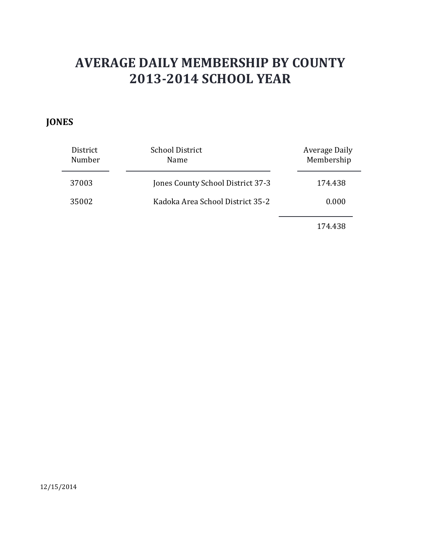### **JONES**

| District<br>Number | <b>School District</b><br><b>Name</b> | Average Daily<br>Membership |
|--------------------|---------------------------------------|-----------------------------|
| 37003              | Jones County School District 37-3     | 174.438                     |
| 35002              | Kadoka Area School District 35-2      | 0.000                       |
|                    |                                       |                             |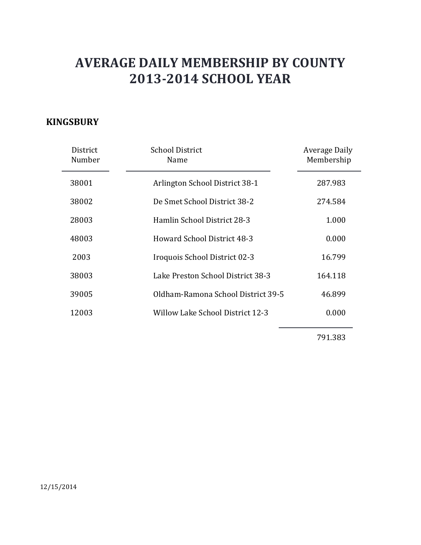#### **KINGSBURY**

| District<br>Number | School District<br>Name            | Average Daily<br>Membership |
|--------------------|------------------------------------|-----------------------------|
| 38001              | Arlington School District 38-1     | 287.983                     |
| 38002              | De Smet School District 38-2       | 274.584                     |
| 28003              | Hamlin School District 28-3        | 1.000                       |
| 48003              | Howard School District 48-3        | 0.000                       |
| 2003               | Iroquois School District 02-3      | 16.799                      |
| 38003              | Lake Preston School District 38-3  | 164.118                     |
| 39005              | Oldham-Ramona School District 39-5 | 46.899                      |
| 12003              | Willow Lake School District 12-3   | 0.000                       |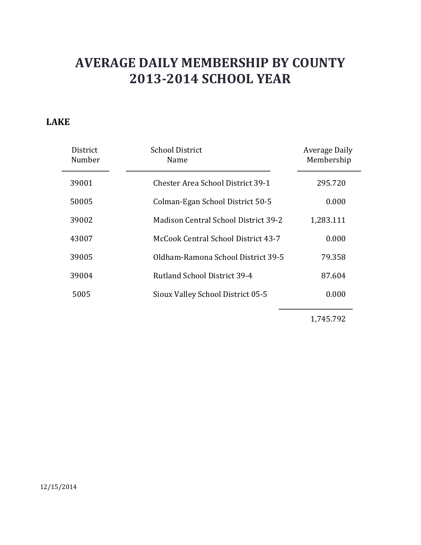#### **LAKE**

| District<br>Number | <b>School District</b><br>Name       | Average Daily<br>Membership |
|--------------------|--------------------------------------|-----------------------------|
| 39001              | Chester Area School District 39-1    | 295.720                     |
| 50005              | Colman-Egan School District 50-5     | 0.000                       |
| 39002              | Madison Central School District 39-2 | 1,283.111                   |
| 43007              | McCook Central School District 43-7  | 0.000                       |
| 39005              | Oldham-Ramona School District 39-5   | 79.358                      |
| 39004              | Rutland School District 39-4         | 87.604                      |
| 5005               | Sioux Valley School District 05-5    | 0.000                       |

1,745.792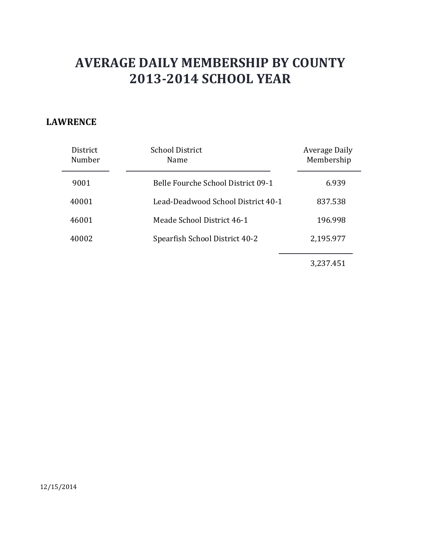#### **LAWRENCE**

| <b>District</b><br>Number | <b>School District</b><br>Name     | <b>Average Daily</b><br>Membership |
|---------------------------|------------------------------------|------------------------------------|
| 9001                      | Belle Fourche School District 09-1 | 6.939                              |
| 40001                     | Lead-Deadwood School District 40-1 | 837.538                            |
| 46001                     | Meade School District 46-1         | 196.998                            |
| 40002                     | Spearfish School District 40-2     | 2,195.977                          |
|                           |                                    |                                    |

3,237.451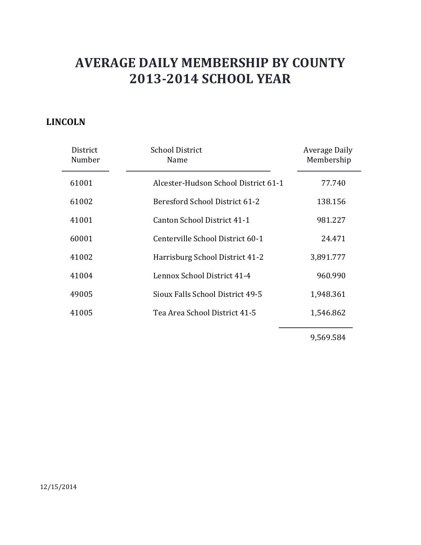### **LINCOLN**

| District<br>Number | <b>School District</b><br>Name       | Average Daily<br>Membership |
|--------------------|--------------------------------------|-----------------------------|
| 61001              | Alcester-Hudson School District 61-1 | 77.740                      |
| 61002              | Beresford School District 61-2       | 138.156                     |
| 41001              | Canton School District 41-1          | 981.227                     |
| 60001              | Centerville School District 60-1     | 24.471                      |
| 41002              | Harrisburg School District 41-2      | 3,891.777                   |
| 41004              | Lennox School District 41-4          | 960.990                     |
| 49005              | Sioux Falls School District 49-5     | 1,948.361                   |
| 41005              | Tea Area School District 41-5        | 1,546.862                   |
|                    |                                      |                             |

9,569.584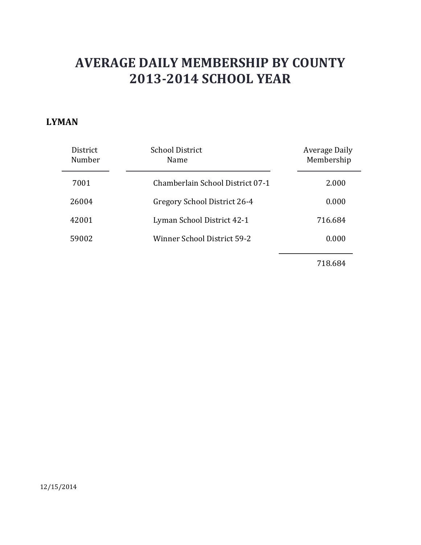#### **LYMAN**

| District<br>Number | <b>School District</b><br>Name   | <b>Average Daily</b><br>Membership |
|--------------------|----------------------------------|------------------------------------|
| 7001               | Chamberlain School District 07-1 | 2.000                              |
| 26004              | Gregory School District 26-4     | 0.000                              |
| 42001              | Lyman School District 42-1       | 716.684                            |
| 59002              | Winner School District 59-2      | 0.000                              |
|                    |                                  |                                    |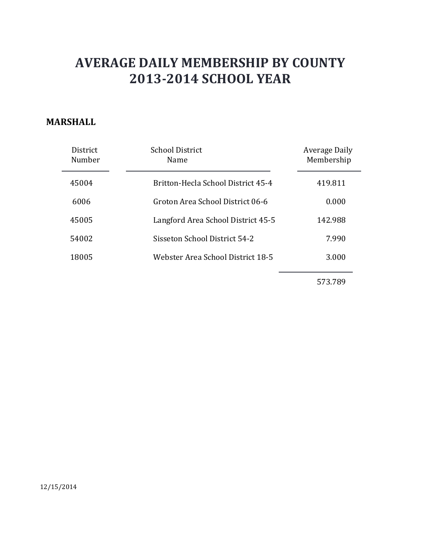#### **MARSHALL**

| <b>District</b><br>Number | <b>School District</b><br><b>Name</b> | Average Daily<br>Membership |
|---------------------------|---------------------------------------|-----------------------------|
| 45004                     | Britton-Hecla School District 45-4    | 419.811                     |
| 6006                      | Groton Area School District 06-6      | 0.000                       |
| 45005                     | Langford Area School District 45-5    | 142.988                     |
| 54002                     | Sisseton School District 54-2         | 7.990                       |
| 18005                     | Webster Area School District 18-5     | 3.000                       |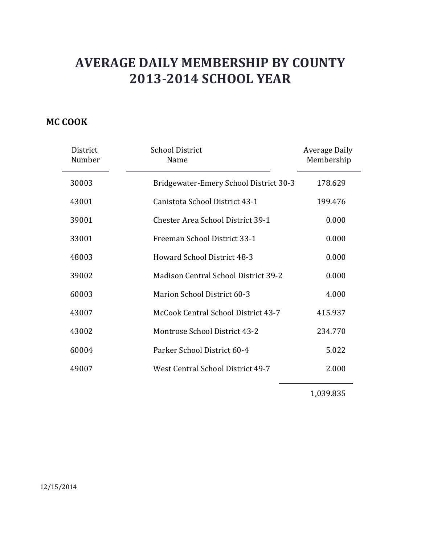### **MC COOK**

| District<br>Number | <b>School District</b><br>Name           | Average Daily<br>Membership |
|--------------------|------------------------------------------|-----------------------------|
| 30003              | Bridgewater-Emery School District 30-3   | 178.629                     |
| 43001              | Canistota School District 43-1           | 199.476                     |
| 39001              | <b>Chester Area School District 39-1</b> | 0.000                       |
| 33001              | Freeman School District 33-1             | 0.000                       |
| 48003              | <b>Howard School District 48-3</b>       | 0.000                       |
| 39002              | Madison Central School District 39-2     | 0.000                       |
| 60003              | <b>Marion School District 60-3</b>       | 4.000                       |
| 43007              | McCook Central School District 43-7      | 415.937                     |
| 43002              | Montrose School District 43-2            | 234.770                     |
| 60004              | Parker School District 60-4              | 5.022                       |
| 49007              | <b>West Central School District 49-7</b> | 2.000                       |

1,039.835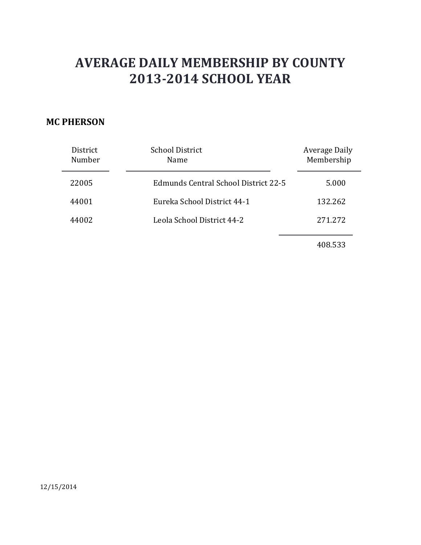### **MC PHERSON**

| District<br>Number | <b>School District</b><br>Name       | Average Daily<br>Membership |
|--------------------|--------------------------------------|-----------------------------|
| 22005              | Edmunds Central School District 22-5 | 5.000                       |
| 44001              | Eureka School District 44-1          | 132.262                     |
| 44002              | Leola School District 44-2           | 271.272                     |
|                    |                                      | 408.533                     |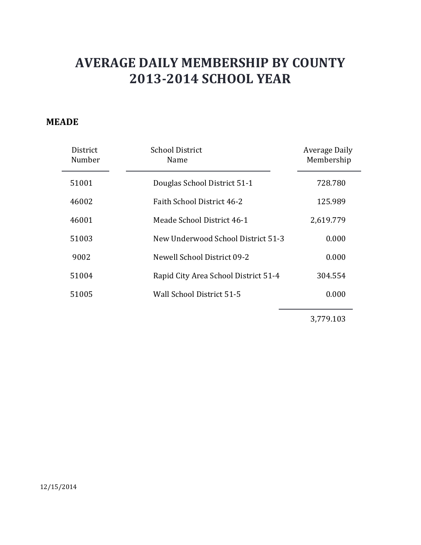#### **MEADE**

| District<br>Number | <b>School District</b><br>Name       | Average Daily<br>Membership |
|--------------------|--------------------------------------|-----------------------------|
| 51001              | Douglas School District 51-1         | 728.780                     |
| 46002              | Faith School District 46-2           | 125.989                     |
| 46001              | Meade School District 46-1           | 2,619.779                   |
| 51003              | New Underwood School District 51-3   | 0.000                       |
| 9002               | Newell School District 09-2          | 0.000                       |
| 51004              | Rapid City Area School District 51-4 | 304.554                     |
| 51005              | Wall School District 51-5            | 0.000                       |

3,779.103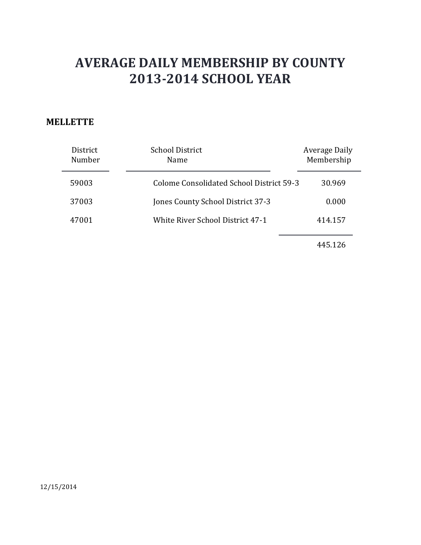#### **MELLETTE**

| District<br>Number | <b>School District</b><br>Name           | Average Daily<br>Membership |
|--------------------|------------------------------------------|-----------------------------|
| 59003              | Colome Consolidated School District 59-3 | 30.969                      |
| 37003              | Jones County School District 37-3        | 0.000                       |
| 47001              | White River School District 47-1         | 414.157                     |
|                    |                                          |                             |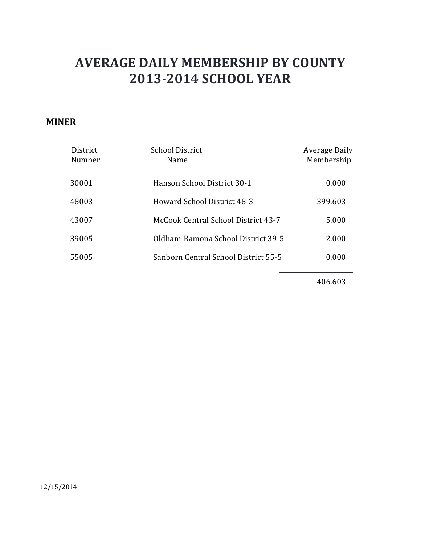#### **MINER**

| <b>District</b><br>Number | School District<br>Name              | Average Daily<br>Membership |
|---------------------------|--------------------------------------|-----------------------------|
| 30001                     | Hanson School District 30-1          | 0.000                       |
| 48003                     | Howard School District 48-3          | 399.603                     |
| 43007                     | McCook Central School District 43-7  | 5.000                       |
| 39005                     | Oldham-Ramona School District 39-5   | 2.000                       |
| 55005                     | Sanborn Central School District 55-5 | 0.000                       |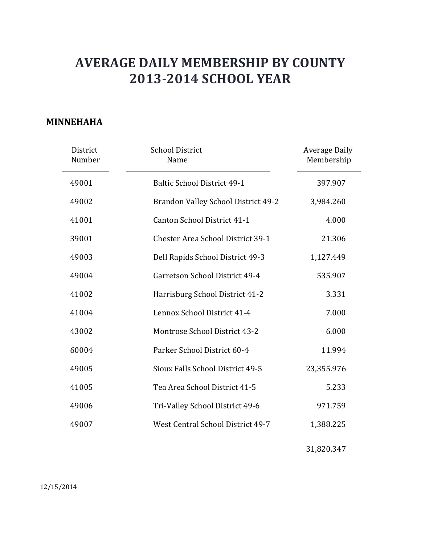#### **MINNEHAHA**

| District<br>Number | <b>School District</b><br>Name           | <b>Average Daily</b><br>Membership |
|--------------------|------------------------------------------|------------------------------------|
| 49001              | <b>Baltic School District 49-1</b>       | 397.907                            |
| 49002              | Brandon Valley School District 49-2      | 3,984.260                          |
| 41001              | Canton School District 41-1              | 4.000                              |
| 39001              | <b>Chester Area School District 39-1</b> | 21.306                             |
| 49003              | Dell Rapids School District 49-3         | 1,127.449                          |
| 49004              | Garretson School District 49-4           | 535.907                            |
| 41002              | Harrisburg School District 41-2          | 3.331                              |
| 41004              | Lennox School District 41-4              | 7.000                              |
| 43002              | Montrose School District 43-2            | 6.000                              |
| 60004              | Parker School District 60-4              | 11.994                             |
| 49005              | Sioux Falls School District 49-5         | 23,355.976                         |
| 41005              | Tea Area School District 41-5            | 5.233                              |
| 49006              | Tri-Valley School District 49-6          | 971.759                            |
| 49007              | West Central School District 49-7        | 1,388.225                          |

31,820.347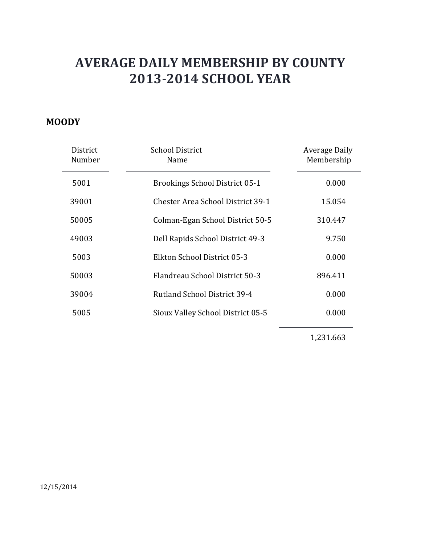#### **MOODY**

| District<br>Number | <b>School District</b><br>Name           | Average Daily<br>Membership |
|--------------------|------------------------------------------|-----------------------------|
| 5001               | <b>Brookings School District 05-1</b>    | 0.000                       |
| 39001              | <b>Chester Area School District 39-1</b> | 15.054                      |
| 50005              | Colman-Egan School District 50-5         | 310.447                     |
| 49003              | Dell Rapids School District 49-3         | 9.750                       |
| 5003               | Elkton School District 05-3              | 0.000                       |
| 50003              | Flandreau School District 50-3           | 896.411                     |
| 39004              | Rutland School District 39-4             | 0.000                       |
| 5005               | Sioux Valley School District 05-5        | 0.000                       |
|                    |                                          |                             |

1,231.663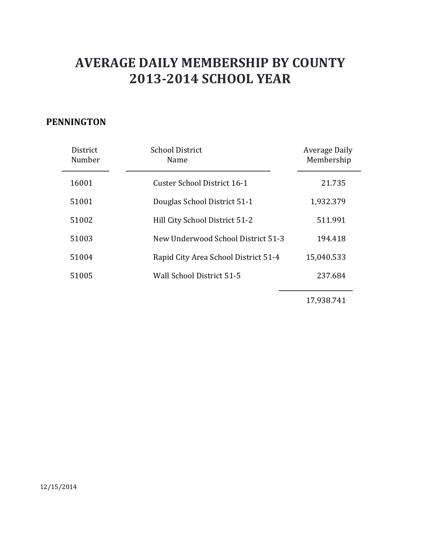#### **PENNINGTON**

| District<br>Number | <b>School District</b><br>Name       | Average Daily<br>Membership |
|--------------------|--------------------------------------|-----------------------------|
| 16001              | Custer School District 16-1          | 21.735                      |
| 51001              | Douglas School District 51-1         | 1,932.379                   |
| 51002              | Hill City School District 51-2       | 511.991                     |
| 51003              | New Underwood School District 51-3   | 194.418                     |
| 51004              | Rapid City Area School District 51-4 | 15,040.533                  |
| 51005              | Wall School District 51-5            | 237.684                     |
|                    |                                      |                             |

17,938.741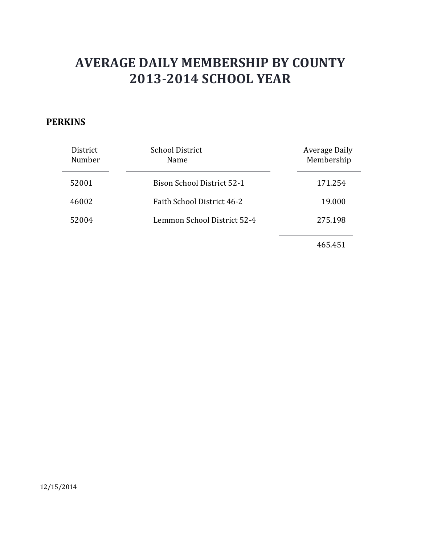### **PERKINS**

| District<br>Number | <b>School District</b><br>Name    | Average Daily<br>Membership |
|--------------------|-----------------------------------|-----------------------------|
| 52001              | <b>Bison School District 52-1</b> | 171.254                     |
| 46002              | Faith School District 46-2        | 19.000                      |
| 52004              | Lemmon School District 52-4       | 275.198                     |
|                    |                                   | 465.451                     |

12/15/2014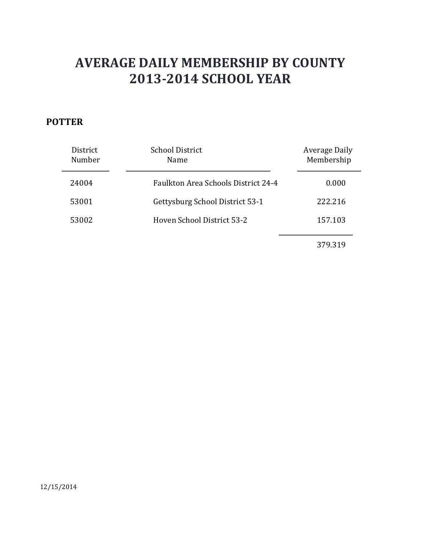### **POTTER**

| District<br>Number | <b>School District</b><br>Name      | Average Daily<br>Membership |
|--------------------|-------------------------------------|-----------------------------|
| 24004              | Faulkton Area Schools District 24-4 | 0.000                       |
| 53001              | Gettysburg School District 53-1     | 222.216                     |
| 53002              | Hoven School District 53-2          | 157.103                     |
|                    |                                     | 379.319                     |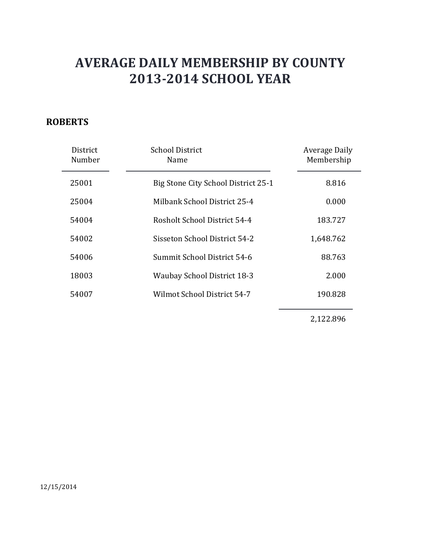### **ROBERTS**

| District<br>Number | <b>School District</b><br>Name      | Average Daily<br>Membership |
|--------------------|-------------------------------------|-----------------------------|
| 25001              | Big Stone City School District 25-1 | 8.816                       |
| 25004              | Milbank School District 25-4        | 0.000                       |
| 54004              | Rosholt School District 54-4        | 183.727                     |
| 54002              | Sisseton School District 54-2       | 1,648.762                   |
| 54006              | Summit School District 54-6         | 88.763                      |
| 18003              | <b>Waubay School District 18-3</b>  | 2.000                       |
| 54007              | Wilmot School District 54-7         | 190.828                     |
|                    |                                     |                             |

2,122.896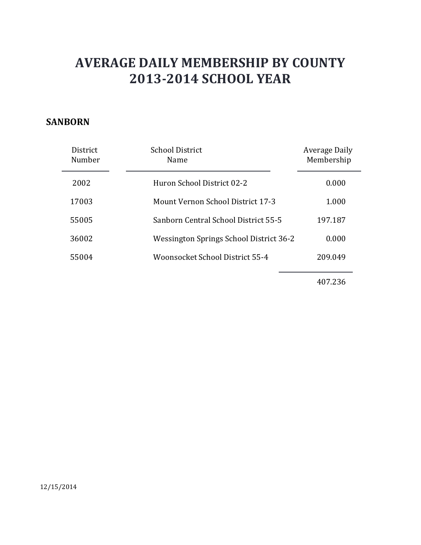#### **SANBORN**

| District<br>Number | School District<br>Name                 | Average Daily<br>Membership |
|--------------------|-----------------------------------------|-----------------------------|
| 2002               | Huron School District 02-2              | 0.000                       |
| 17003              | Mount Vernon School District 17-3       | 1.000                       |
| 55005              | Sanborn Central School District 55-5    | 197.187                     |
| 36002              | Wessington Springs School District 36-2 | 0.000                       |
| 55004              | Woonsocket School District 55-4         | 209.049                     |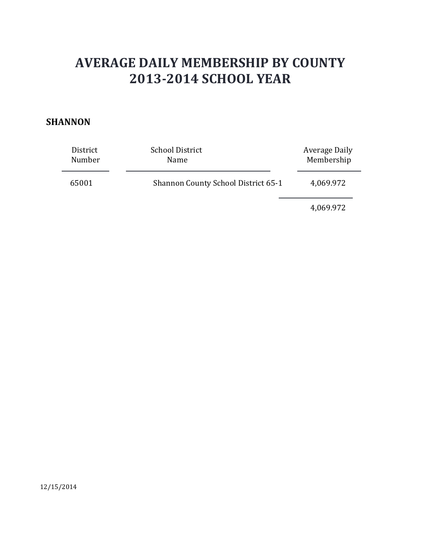#### **SHANNON**

| District | <b>School District</b>              | Average Daily |
|----------|-------------------------------------|---------------|
| Number   | Name                                | Membership    |
| 65001    | Shannon County School District 65-1 | 4,069.972     |

4,069.972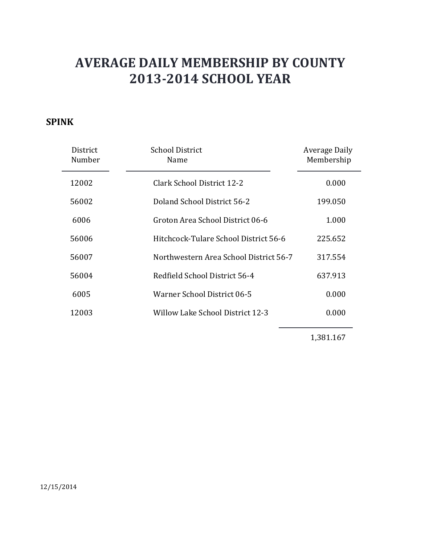### **SPINK**

| District<br>Number | <b>School District</b><br>Name         | Average Daily<br>Membership |
|--------------------|----------------------------------------|-----------------------------|
| 12002              | Clark School District 12-2             | 0.000                       |
| 56002              | Doland School District 56-2            | 199.050                     |
| 6006               | Groton Area School District 06-6       | 1.000                       |
| 56006              | Hitchcock-Tulare School District 56-6  | 225.652                     |
| 56007              | Northwestern Area School District 56-7 | 317.554                     |
| 56004              | Redfield School District 56-4          | 637.913                     |
| 6005               | Warner School District 06-5            | 0.000                       |
| 12003              | Willow Lake School District 12-3       | 0.000                       |
|                    |                                        |                             |

1,381.167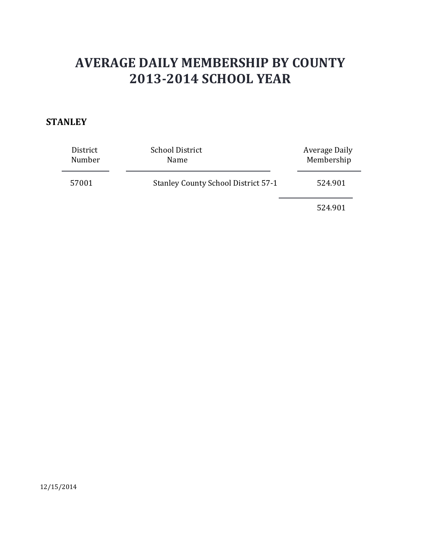### **STANLEY**

| District<br>Number | <b>School District</b><br>Name             | Average Daily<br>Membership |
|--------------------|--------------------------------------------|-----------------------------|
| 57001              | <b>Stanley County School District 57-1</b> | 524.901                     |
|                    |                                            | 524.901                     |

12/15/2014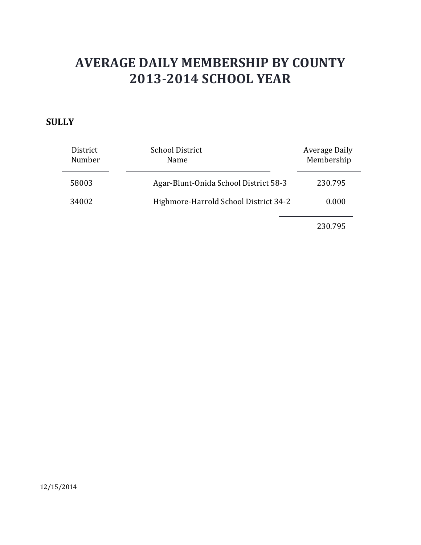#### **SULLY**

| District<br>Number | <b>School District</b><br>Name        | Average Daily<br>Membership |
|--------------------|---------------------------------------|-----------------------------|
| 58003              | Agar-Blunt-Onida School District 58-3 | 230.795                     |
| 34002              | Highmore-Harrold School District 34-2 | 0.000                       |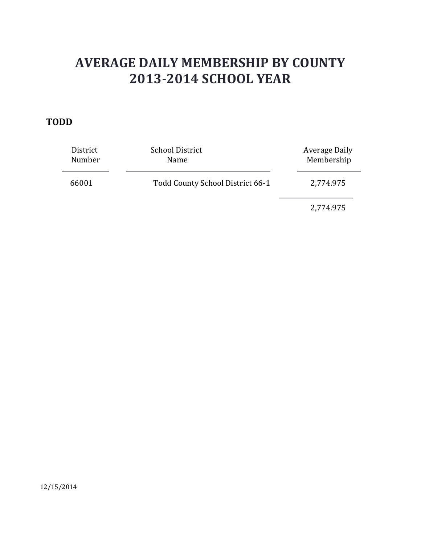#### **TODD**

| District<br>Number | <b>School District</b><br>Name   | Average Daily<br>Membership |
|--------------------|----------------------------------|-----------------------------|
| 66001              | Todd County School District 66-1 | 2,774.975                   |
|                    |                                  | 2,774.975                   |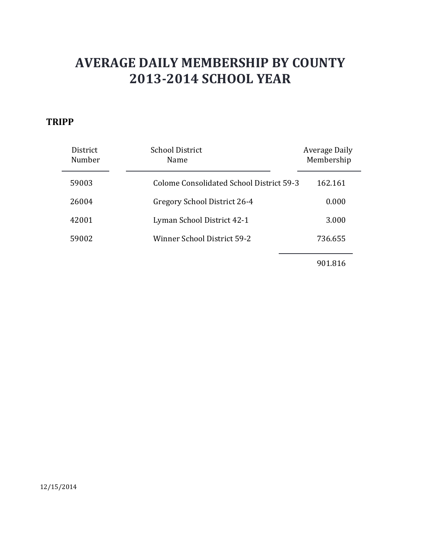#### **TRIPP**

| District<br>Number | <b>School District</b><br>Name                  | Average Daily<br>Membership |
|--------------------|-------------------------------------------------|-----------------------------|
| 59003              | <b>Colome Consolidated School District 59-3</b> | 162.161                     |
| 26004              | Gregory School District 26-4                    | 0.000                       |
| 42001              | Lyman School District 42-1                      | 3.000                       |
| 59002              | Winner School District 59-2                     | 736.655                     |
|                    |                                                 | 0.0101c                     |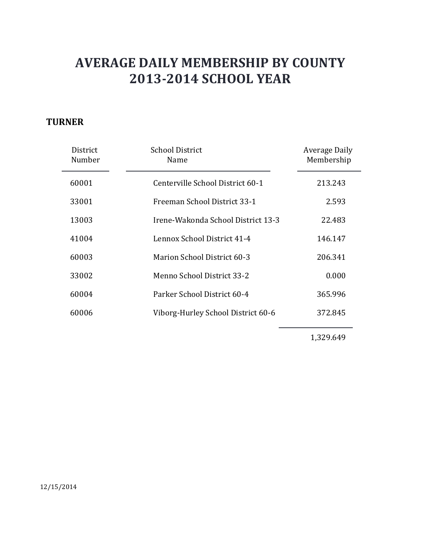### **TURNER**

| District<br>Number | School District<br>Name            | Average Daily<br>Membership |
|--------------------|------------------------------------|-----------------------------|
| 60001              | Centerville School District 60-1   | 213.243                     |
| 33001              | Freeman School District 33-1       | 2.593                       |
| 13003              | Irene-Wakonda School District 13-3 | 22.483                      |
| 41004              | Lennox School District 41-4        | 146.147                     |
| 60003              | <b>Marion School District 60-3</b> | 206.341                     |
| 33002              | Menno School District 33-2         | 0.000                       |
| 60004              | Parker School District 60-4        | 365.996                     |
| 60006              | Viborg-Hurley School District 60-6 | 372.845                     |

1,329.649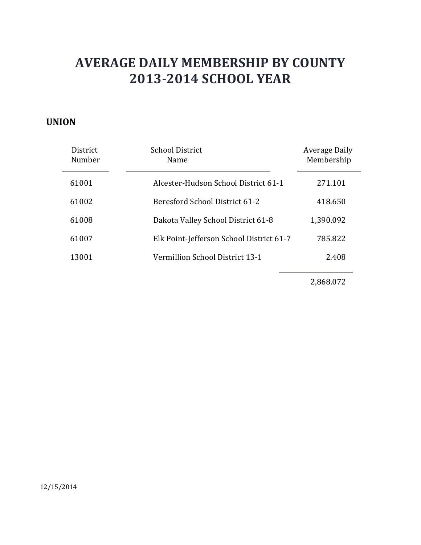#### **UNION**

| <b>District</b><br>Number | <b>School District</b><br>Name           | Average Daily<br>Membership |
|---------------------------|------------------------------------------|-----------------------------|
| 61001                     | Alcester-Hudson School District 61-1     | 271.101                     |
| 61002                     | Beresford School District 61-2           | 418.650                     |
| 61008                     | Dakota Valley School District 61-8       | 1,390.092                   |
| 61007                     | Elk Point-Jefferson School District 61-7 | 785.822                     |
| 13001                     | Vermillion School District 13-1          | 2.408                       |

2,868.072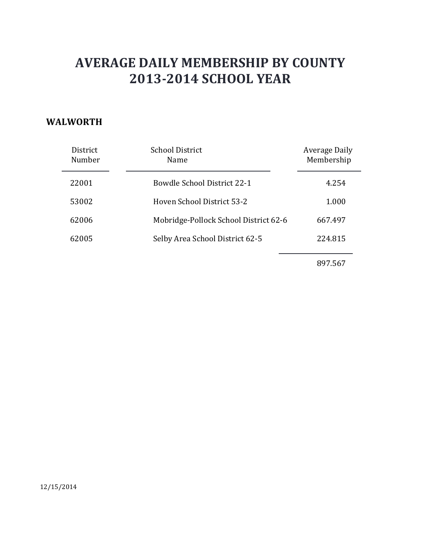#### **WALWORTH**

| District<br>Number | <b>School District</b><br>Name        | Average Daily<br>Membership |
|--------------------|---------------------------------------|-----------------------------|
| 22001              | Bowdle School District 22-1           | 4.254                       |
| 53002              | Hoven School District 53-2            | 1.000                       |
| 62006              | Mobridge-Pollock School District 62-6 | 667.497                     |
| 62005              | Selby Area School District 62-5       | 224.815                     |
|                    |                                       |                             |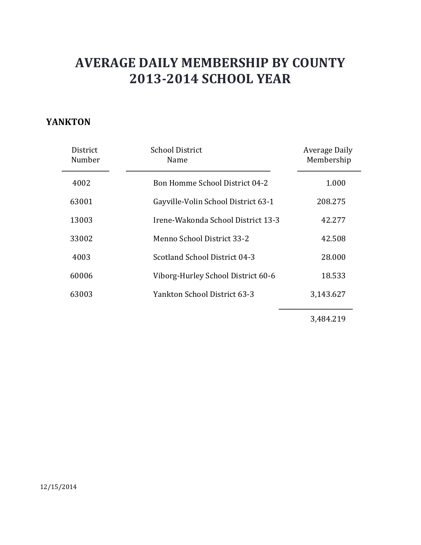#### **YANKTON**

| District<br>Number | <b>School District</b><br>Name        | Average Daily<br>Membership |
|--------------------|---------------------------------------|-----------------------------|
| 4002               | <b>Bon Homme School District 04-2</b> | 1.000                       |
| 63001              | Gayville-Volin School District 63-1   | 208.275                     |
| 13003              | Irene-Wakonda School District 13-3    | 42.277                      |
| 33002              | Menno School District 33-2            | 42.508                      |
| 4003               | Scotland School District 04-3         | 28,000                      |
| 60006              | Viborg-Hurley School District 60-6    | 18.533                      |
| 63003              | Yankton School District 63-3          | 3,143.627                   |

3,484.219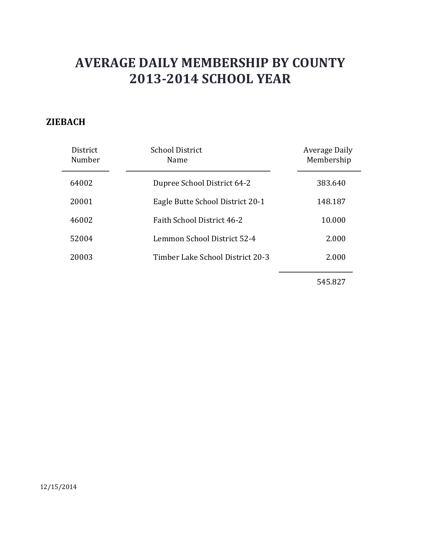### **ZIEBACH**

| <b>District</b><br>Number | School District<br>Name           | <b>Average Daily</b><br>Membership |
|---------------------------|-----------------------------------|------------------------------------|
| 64002                     | Dupree School District 64-2       | 383.640                            |
| 20001                     | Eagle Butte School District 20-1  | 148.187                            |
| 46002                     | <b>Faith School District 46-2</b> | 10.000                             |
| 52004                     | Lemmon School District 52-4       | 2.000                              |
| 20003                     | Timber Lake School District 20-3  | 2.000                              |